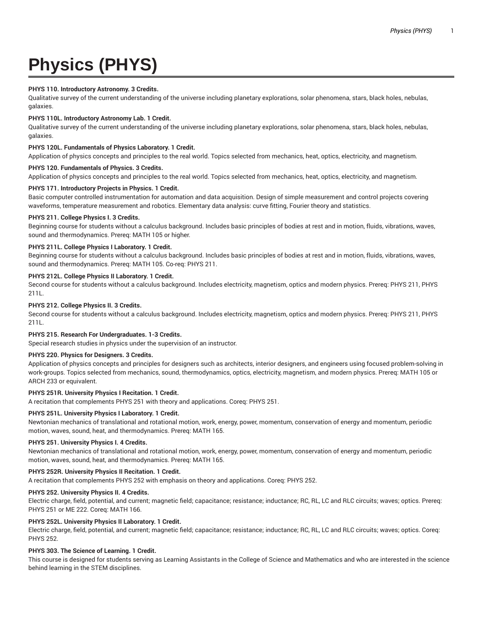# **Physics (PHYS)**

# **PHYS 110. Introductory Astronomy. 3 Credits.**

Qualitative survey of the current understanding of the universe including planetary explorations, solar phenomena, stars, black holes, nebulas, galaxies.

## **PHYS 110L. Introductory Astronomy Lab. 1 Credit.**

Qualitative survey of the current understanding of the universe including planetary explorations, solar phenomena, stars, black holes, nebulas, galaxies.

## **PHYS 120L. Fundamentals of Physics Laboratory. 1 Credit.**

Application of physics concepts and principles to the real world. Topics selected from mechanics, heat, optics, electricity, and magnetism.

## **PHYS 120. Fundamentals of Physics. 3 Credits.**

Application of physics concepts and principles to the real world. Topics selected from mechanics, heat, optics, electricity, and magnetism.

# **PHYS 171. Introductory Projects in Physics. 1 Credit.**

Basic computer controlled instrumentation for automation and data acquisition. Design of simple measurement and control projects covering waveforms, temperature measurement and robotics. Elementary data analysis: curve fitting, Fourier theory and statistics.

## **PHYS 211. College Physics I. 3 Credits.**

Beginning course for students without a calculus background. Includes basic principles of bodies at rest and in motion, fluids, vibrations, waves, sound and thermodynamics. Prereq: MATH 105 or higher.

## **PHYS 211L. College Physics I Laboratory. 1 Credit.**

Beginning course for students without a calculus background. Includes basic principles of bodies at rest and in motion, fluids, vibrations, waves, sound and thermodynamics. Prereq: MATH 105. Co-req: PHYS 211.

# **PHYS 212L. College Physics II Laboratory. 1 Credit.**

Second course for students without a calculus background. Includes electricity, magnetism, optics and modern physics. Prereq: PHYS 211, PHYS 211L.

## **PHYS 212. College Physics II. 3 Credits.**

Second course for students without a calculus background. Includes electricity, magnetism, optics and modern physics. Prereq: PHYS 211, PHYS 211L.

# **PHYS 215. Research For Undergraduates. 1-3 Credits.**

Special research studies in physics under the supervision of an instructor.

## **PHYS 220. Physics for Designers. 3 Credits.**

Application of physics concepts and principles for designers such as architects, interior designers, and engineers using focused problem-solving in work-groups. Topics selected from mechanics, sound, thermodynamics, optics, electricity, magnetism, and modern physics. Prereq: MATH 105 or ARCH 233 or equivalent.

# **PHYS 251R. University Physics I Recitation. 1 Credit.**

A recitation that complements PHYS 251 with theory and applications. Coreq: PHYS 251.

## **PHYS 251L. University Physics I Laboratory. 1 Credit.**

Newtonian mechanics of translational and rotational motion, work, energy, power, momentum, conservation of energy and momentum, periodic motion, waves, sound, heat, and thermodynamics. Prereq: MATH 165.

## **PHYS 251. University Physics I. 4 Credits.**

Newtonian mechanics of translational and rotational motion, work, energy, power, momentum, conservation of energy and momentum, periodic motion, waves, sound, heat, and thermodynamics. Prereq: MATH 165.

## **PHYS 252R. University Physics II Recitation. 1 Credit.**

A recitation that complements PHYS 252 with emphasis on theory and applications. Coreq: PHYS 252.

## **PHYS 252. University Physics II. 4 Credits.**

Electric charge, field, potential, and current; magnetic field; capacitance; resistance; inductance; RC, RL, LC and RLC circuits; waves; optics. Prereq: PHYS 251 or ME 222. Coreq: MATH 166.

## **PHYS 252L. University Physics II Laboratory. 1 Credit.**

Electric charge, field, potential, and current; magnetic field; capacitance; resistance; inductance; RC, RL, LC and RLC circuits; waves; optics. Coreq: PHYS 252.

## **PHYS 303. The Science of Learning. 1 Credit.**

This course is designed for students serving as Learning Assistants in the College of Science and Mathematics and who are interested in the science behind learning in the STEM disciplines.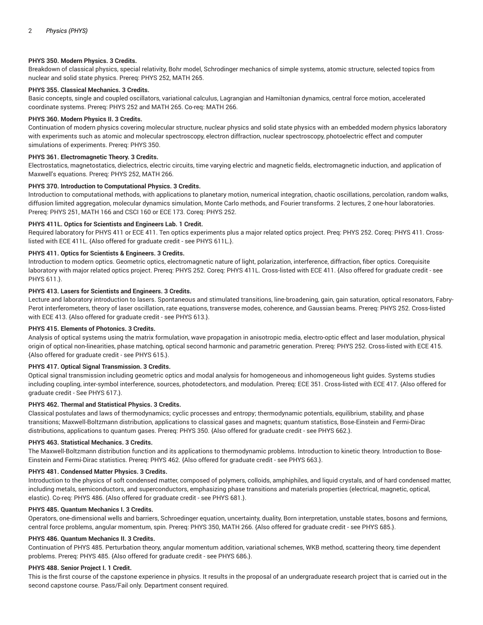## **PHYS 350. Modern Physics. 3 Credits.**

Breakdown of classical physics, special relativity, Bohr model, Schrodinger mechanics of simple systems, atomic structure, selected topics from nuclear and solid state physics. Prereq: PHYS 252, MATH 265.

# **PHYS 355. Classical Mechanics. 3 Credits.**

Basic concepts, single and coupled oscillators, variational calculus, Lagrangian and Hamiltonian dynamics, central force motion, accelerated coordinate systems. Prereq: PHYS 252 and MATH 265. Co-req: MATH 266.

## **PHYS 360. Modern Physics II. 3 Credits.**

Continuation of modern physics covering molecular structure, nuclear physics and solid state physics with an embedded modern physics laboratory with experiments such as atomic and molecular spectroscopy, electron diffraction, nuclear spectroscopy, photoelectric effect and computer simulations of experiments. Prereq: PHYS 350.

#### **PHYS 361. Electromagnetic Theory. 3 Credits.**

Electrostatics, magnetostatics, dielectrics, electric circuits, time varying electric and magnetic fields, electromagnetic induction, and application of Maxwell's equations. Prereq: PHYS 252, MATH 266.

## **PHYS 370. Introduction to Computational Physics. 3 Credits.**

Introduction to computational methods, with applications to planetary motion, numerical integration, chaotic oscillations, percolation, random walks, diffusion limited aggregation, molecular dynamics simulation, Monte Carlo methods, and Fourier transforms. 2 lectures, 2 one-hour laboratories. Prereq: PHYS 251, MATH 166 and CSCI 160 or ECE 173. Coreq: PHYS 252.

#### **PHYS 411L. Optics for Scientists and Engineers Lab. 1 Credit.**

Required laboratory for PHYS 411 or ECE 411. Ten optics experiments plus a major related optics project. Preq: PHYS 252. Coreq: PHYS 411. Crosslisted with ECE 411L. {Also offered for graduate credit - see PHYS 611L.}.

#### **PHYS 411. Optics for Scientists & Engineers. 3 Credits.**

Introduction to modern optics. Geometric optics, electromagnetic nature of light, polarization, interference, diffraction, fiber optics. Corequisite laboratory with major related optics project. Prereq: PHYS 252. Coreq: PHYS 411L. Cross-listed with ECE 411. {Also offered for graduate credit - see PHYS 611.}.

## **PHYS 413. Lasers for Scientists and Engineers. 3 Credits.**

Lecture and laboratory introduction to lasers. Spontaneous and stimulated transitions, line-broadening, gain, gain saturation, optical resonators, Fabry-Perot interferometers, theory of laser oscillation, rate equations, transverse modes, coherence, and Gaussian beams. Prereq: PHYS 252. Cross-listed with ECE 413. {Also offered for graduate credit - see PHYS 613.}.

### **PHYS 415. Elements of Photonics. 3 Credits.**

Analysis of optical systems using the matrix formulation, wave propagation in anisotropic media, electro-optic effect and laser modulation, physical origin of optical non-linearities, phase matching, optical second harmonic and parametric generation. Prereq: PHYS 252. Cross-listed with ECE 415. {Also offered for graduate credit - see PHYS 615.}.

## **PHYS 417. Optical Signal Transmission. 3 Credits.**

Optical signal transmission including geometric optics and modal analysis for homogeneous and inhomogeneous light guides. Systems studies including coupling, inter-symbol interference, sources, photodetectors, and modulation. Prereq: ECE 351. Cross-listed with ECE 417. {Also offered for graduate credit - See PHYS 617.}.

# **PHYS 462. Thermal and Statistical Physics. 3 Credits.**

Classical postulates and laws of thermodynamics; cyclic processes and entropy; thermodynamic potentials, equilibrium, stability, and phase transitions; Maxwell-Boltzmann distribution, applications to classical gases and magnets; quantum statistics, Bose-Einstein and Fermi-Dirac distributions, applications to quantum gases. Prereq: PHYS 350. {Also offered for graduate credit - see PHYS 662.}.

#### **PHYS 463. Statistical Mechanics. 3 Credits.**

The Maxwell-Boltzmann distribution function and its applications to thermodynamic problems. Introduction to kinetic theory. Introduction to Bose-Einstein and Fermi-Dirac statistics. Prereq: PHYS 462. {Also offered for graduate credit - see PHYS 663.}.

#### **PHYS 481. Condensed Matter Physics. 3 Credits.**

Introduction to the physics of soft condensed matter, composed of polymers, colloids, amphiphiles, and liquid crystals, and of hard condensed matter, including metals, semiconductors, and superconductors, emphasizing phase transitions and materials properties (electrical, magnetic, optical, elastic). Co-req: PHYS 486. {Also offered for graduate credit - see PHYS 681.}.

## **PHYS 485. Quantum Mechanics I. 3 Credits.**

Operators, one-dimensional wells and barriers, Schroedinger equation, uncertainty, duality, Born interpretation, unstable states, bosons and fermions, central force problems, angular momentum, spin. Prereq: PHYS 350, MATH 266. {Also offered for graduate credit - see PHYS 685.}.

## **PHYS 486. Quantum Mechanics II. 3 Credits.**

Continuation of PHYS 485. Perturbation theory, angular momentum addition, variational schemes, WKB method, scattering theory, time dependent problems. Prereq: PHYS 485. {Also offered for graduate credit - see PHYS 686.}.

#### **PHYS 488. Senior Project I. 1 Credit.**

This is the first course of the capstone experience in physics. It results in the proposal of an undergraduate research project that is carried out in the second capstone course. Pass/Fail only. Department consent required.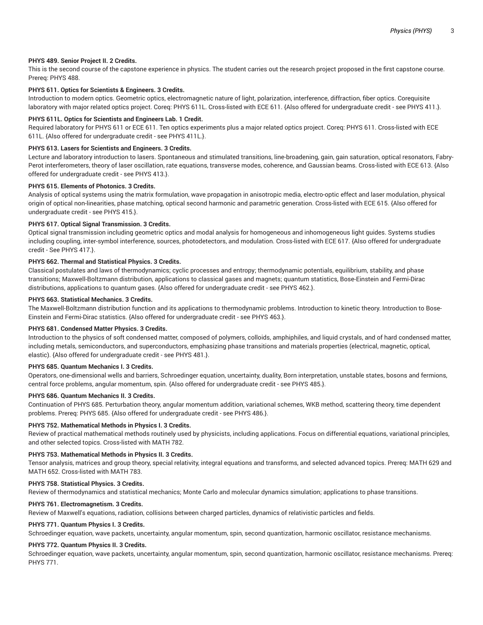## **PHYS 489. Senior Project II. 2 Credits.**

This is the second course of the capstone experience in physics. The student carries out the research project proposed in the first capstone course. Prereq: PHYS 488.

## **PHYS 611. Optics for Scientists & Engineers. 3 Credits.**

Introduction to modern optics. Geometric optics, electromagnetic nature of light, polarization, interference, diffraction, fiber optics. Corequisite laboratory with major related optics project. Coreq: PHYS 611L. Cross-listed with ECE 611. {Also offered for undergraduate credit - see PHYS 411.}.

#### **PHYS 611L. Optics for Scientists and Engineers Lab. 1 Credit.**

Required laboratory for PHYS 611 or ECE 611. Ten optics experiments plus a major related optics project. Coreq: PHYS 611. Cross-listed with ECE 611L. {Also offered for undergraduate credit - see PHYS 411L.}.

## **PHYS 613. Lasers for Scientists and Engineers. 3 Credits.**

Lecture and laboratory introduction to lasers. Spontaneous and stimulated transitions, line-broadening, gain, gain saturation, optical resonators, Fabry-Perot interferometers, theory of laser oscillation, rate equations, transverse modes, coherence, and Gaussian beams. Cross-listed with ECE 613. {Also offered for undergraduate credit - see PHYS 413.}.

## **PHYS 615. Elements of Photonics. 3 Credits.**

Analysis of optical systems using the matrix formulation, wave propagation in anisotropic media, electro-optic effect and laser modulation, physical origin of optical non-linearities, phase matching, optical second harmonic and parametric generation. Cross-listed with ECE 615. {Also offered for undergraduate credit - see PHYS 415.}.

## **PHYS 617. Optical Signal Transmission. 3 Credits.**

Optical signal transmission including geometric optics and modal analysis for homogeneous and inhomogeneous light guides. Systems studies including coupling, inter-symbol interference, sources, photodetectors, and modulation. Cross-listed with ECE 617. {Also offered for undergraduate credit - See PHYS 417.}.

## **PHYS 662. Thermal and Statistical Physics. 3 Credits.**

Classical postulates and laws of thermodynamics; cyclic processes and entropy; thermodynamic potentials, equilibrium, stability, and phase transitions; Maxwell-Boltzmann distribution, applications to classical gases and magnets; quantum statistics, Bose-Einstein and Fermi-Dirac distributions, applications to quantum gases. {Also offered for undergraduate credit - see PHYS 462.}.

## **PHYS 663. Statistical Mechanics. 3 Credits.**

The Maxwell-Boltzmann distribution function and its applications to thermodynamic problems. Introduction to kinetic theory. Introduction to Bose-Einstein and Fermi-Dirac statistics. {Also offered for undergraduate credit - see PHYS 463.}.

### **PHYS 681. Condensed Matter Physics. 3 Credits.**

Introduction to the physics of soft condensed matter, composed of polymers, colloids, amphiphiles, and liquid crystals, and of hard condensed matter, including metals, semiconductors, and superconductors, emphasizing phase transitions and materials properties (electrical, magnetic, optical, elastic). {Also offered for undergraduate credit - see PHYS 481.}.

#### **PHYS 685. Quantum Mechanics I. 3 Credits.**

Operators, one-dimensional wells and barriers, Schroedinger equation, uncertainty, duality, Born interpretation, unstable states, bosons and fermions, central force problems, angular momentum, spin. {Also offered for undergraduate credit - see PHYS 485.}.

#### **PHYS 686. Quantum Mechanics II. 3 Credits.**

Continuation of PHYS 685. Perturbation theory, angular momentum addition, variational schemes, WKB method, scattering theory, time dependent problems. Prereq: PHYS 685. {Also offered for undergraduate credit - see PHYS 486.}.

## **PHYS 752. Mathematical Methods in Physics I. 3 Credits.**

Review of practical mathematical methods routinely used by physicists, including applications. Focus on differential equations, variational principles, and other selected topics. Cross-listed with MATH 782.

## **PHYS 753. Mathematical Methods in Physics II. 3 Credits.**

Tensor analysis, matrices and group theory, special relativity, integral equations and transforms, and selected advanced topics. Prereq: MATH 629 and MATH 652. Cross-listed with MATH 783.

#### **PHYS 758. Statistical Physics. 3 Credits.**

Review of thermodynamics and statistical mechanics; Monte Carlo and molecular dynamics simulation; applications to phase transitions.

### **PHYS 761. Electromagnetism. 3 Credits.**

Review of Maxwell's equations, radiation, collisions between charged particles, dynamics of relativistic particles and fields.

#### **PHYS 771. Quantum Physics I. 3 Credits.**

Schroedinger equation, wave packets, uncertainty, angular momentum, spin, second quantization, harmonic oscillator, resistance mechanisms.

## **PHYS 772. Quantum Physics II. 3 Credits.**

Schroedinger equation, wave packets, uncertainty, angular momentum, spin, second quantization, harmonic oscillator, resistance mechanisms. Prereq: PHYS 771.